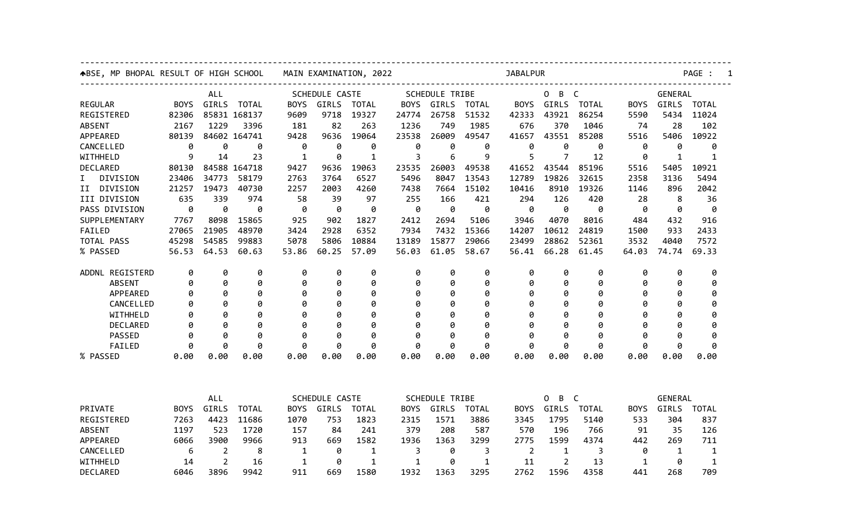| ABSE, MP BHOPAL RESULT OF HIGH SCHOOL<br>ALL |             |              |              | MAIN EXAMINATION, 2022 |              |              |                       | <b>JABALPUR</b>       |              |             |                |              |                | PAGE :       |              |  |  |
|----------------------------------------------|-------------|--------------|--------------|------------------------|--------------|--------------|-----------------------|-----------------------|--------------|-------------|----------------|--------------|----------------|--------------|--------------|--|--|
|                                              |             |              |              | <b>SCHEDULE CASTE</b>  |              |              | <b>SCHEDULE TRIBE</b> |                       |              | B C<br>0    |                |              | <b>GENERAL</b> |              |              |  |  |
| <b>REGULAR</b>                               | <b>BOYS</b> | <b>GIRLS</b> | <b>TOTAL</b> | <b>BOYS</b>            | <b>GIRLS</b> | TOTAL        | <b>BOYS</b>           | <b>GIRLS</b>          | TOTAL        | <b>BOYS</b> | GIRLS          | <b>TOTAL</b> | <b>BOYS</b>    | <b>GIRLS</b> | <b>TOTAL</b> |  |  |
| REGISTERED                                   | 82306       |              | 85831 168137 | 9609                   | 9718         | 19327        | 24774                 | 26758                 | 51532        | 42333       | 43921          | 86254        | 5590           | 5434         | 11024        |  |  |
| <b>ABSENT</b>                                | 2167        | 1229         | 3396         | 181                    | 82           | 263          | 1236                  | 749                   | 1985         | 676         | 370            | 1046         | 74             | 28           | 102          |  |  |
| APPEARED                                     | 80139       |              | 84602 164741 | 9428                   | 9636         | 19064        | 23538                 | 26009                 | 49547        | 41657       | 43551          | 85208        | 5516           | 5406         | 10922        |  |  |
| CANCELLED                                    | 0           | 0            | 0            | 0                      | 0            | 0            | 0                     | 0                     | 0            | 0           | 0              | 0            | 0              | 0            | 0            |  |  |
| WITHHELD                                     | 9           | 14           | 23           | $\mathbf{1}$           | 0            | 1            | 3                     | 6                     | 9            | 5           | 7              | 12           | 0              | $\mathbf{1}$ | 1            |  |  |
| DECLARED                                     | 80130       |              | 84588 164718 | 9427                   | 9636         | 19063        | 23535                 | 26003                 | 49538        | 41652       | 43544          | 85196        | 5516           | 5405         | 10921        |  |  |
| I.<br>DIVISION                               | 23406       | 34773        | 58179        | 2763                   | 3764         | 6527         | 5496                  | 8047                  | 13543        | 12789       | 19826          | 32615        | 2358           | 3136         | 5494         |  |  |
| II DIVISION                                  | 21257       | 19473        | 40730        | 2257                   | 2003         | 4260         | 7438                  | 7664                  | 15102        | 10416       | 8910           | 19326        | 1146           | 896          | 2042         |  |  |
| III DIVISION                                 | 635         | 339          | 974          | 58                     | 39           | 97           | 255                   | 166                   | 421          | 294         | 126            | 420          | 28             | 8            | 36           |  |  |
| PASS DIVISION                                | 0           | 0            | 0            | 0                      | 0            | 0            | 0                     | 0                     | 0            | 0           | 0              | 0            | 0              | 0            | 0            |  |  |
| SUPPLEMENTARY                                | 7767        | 8098         | 15865        | 925                    | 902          | 1827         | 2412                  | 2694                  | 5106         | 3946        | 4070           | 8016         | 484            | 432          | 916          |  |  |
| FAILED                                       | 27065       | 21905        | 48970        | 3424                   | 2928         | 6352         | 7934                  | 7432                  | 15366        | 14207       | 10612          | 24819        | 1500           | 933          | 2433         |  |  |
| TOTAL PASS                                   | 45298       | 54585        | 99883        | 5078                   | 5806         | 10884        | 13189                 | 15877                 | 29066        | 23499       | 28862          | 52361        | 3532           | 4040         | 7572         |  |  |
| % PASSED                                     | 56.53       | 64.53        | 60.63        | 53.86                  | 60.25        | 57.09        | 56.03                 | 61.05                 | 58.67        | 56.41       | 66.28          | 61.45        | 64.03          | 74.74        | 69.33        |  |  |
| ADDNL REGISTERD                              | 0           | 0            | 0            | 0                      | 0            | 0            | 0                     | 0                     | 0            | 0           | 0              | 0            | 0              | 0            | 0            |  |  |
| <b>ABSENT</b>                                | 0           | 0            | 0            | 0                      | 0            | 0            | 0                     | 0                     | 0            | 0           | 0              | 0            | 0              | 0            | 0            |  |  |
| APPEARED                                     | 0           | 0            | 0            | 0                      | 0            | 0            | 0                     | 0                     | 0            | 0           | 0              | 0            | 0              | 0            | 0            |  |  |
| CANCELLED                                    | 0           | 0            | 0            | 0                      | 0            | 0            | 0                     | 0                     | 0            | 0           | 0              | 0            | 0              | Ø            | 0            |  |  |
| WITHHELD                                     | 0           | ø            | 0            | 0                      | 0            | 0            | 0                     | Ø                     | 0            | ø           | 0              | 0            | 0              | Ø            | 0            |  |  |
| <b>DECLARED</b>                              | 0           | 0            | 0            | 0                      | 0            | 0            | 0                     | 0                     | 0            | Ø           | 0              | 0            | 0              | Ø            | 0            |  |  |
| PASSED                                       | ø           | ø            | ø            | ø                      | 0            | ø            | 0                     | ø                     | ø            | ø           | 0              | ø            | ø              | ø            | ø            |  |  |
| FAILED                                       | 0           | ø            | ø            | 0                      | ø            | ø            | 0                     | ø                     | ø            | ø           | ø              | ø            | 0              | 0            | ø            |  |  |
| % PASSED                                     | 0.00        | 0.00         | 0.00         | 0.00                   | 0.00         | 0.00         | 0.00                  | 0.00                  | 0.00         | 0.00        | 0.00           | 0.00         | 0.00           | 0.00         | 0.00         |  |  |
|                                              |             |              |              |                        |              |              |                       |                       |              |             |                |              |                |              |              |  |  |
| ALL                                          |             |              |              | SCHEDULE CASTE         |              |              |                       | <b>SCHEDULE TRIBE</b> |              |             | B C<br>0       |              |                | GENERAL      |              |  |  |
| PRIVATE                                      | <b>BOYS</b> | GIRLS        | <b>TOTAL</b> | <b>BOYS</b>            | GIRLS        | <b>TOTAL</b> | <b>BOYS</b>           | GIRLS                 | <b>TOTAL</b> | <b>BOYS</b> | GIRLS          | <b>TOTAL</b> | <b>BOYS</b>    | GIRLS        | <b>TOTAL</b> |  |  |
| REGISTERED                                   | 7263        | 4423         | 11686        | 1070                   | 753          | 1823         | 2315                  | 1571                  | 3886         | 3345        | 1795           | 5140         | 533            | 304          | 837          |  |  |
| <b>ABSENT</b>                                | 1197        | 523          | 1720         | 157                    | 84           | 241          | 379                   | 208                   | 587          | 570         | 196            | 766          | 91             | 35           | 126          |  |  |
| APPEARED                                     | 6066        | 3900         | 9966         | 913                    | 669          | 1582         | 1936                  | 1363                  | 3299         | 2775        | 1599           | 4374         | 442            | 269          | 711          |  |  |
| CANCELLED                                    | 6           | 2            | 8            | 1                      | 0            | 1            | 3                     | 0                     | 3            | 2           | 1              | 3            | 0              | 1            | 1            |  |  |
| WITHHELD                                     | 14          | 2            | 16           | $\mathbf{1}$           | 0            | 1            | 1                     | 0                     | $\mathbf 1$  | 11          | $\overline{2}$ | 13           | 1              | 0            | $\mathbf{1}$ |  |  |
| DECLARED                                     | 6046        | 3896         | 9942         | 911                    | 669          | 1580         | 1932                  | 1363                  | 3295         | 2762        | 1596           | 4358         | 441            | 268          | 709          |  |  |